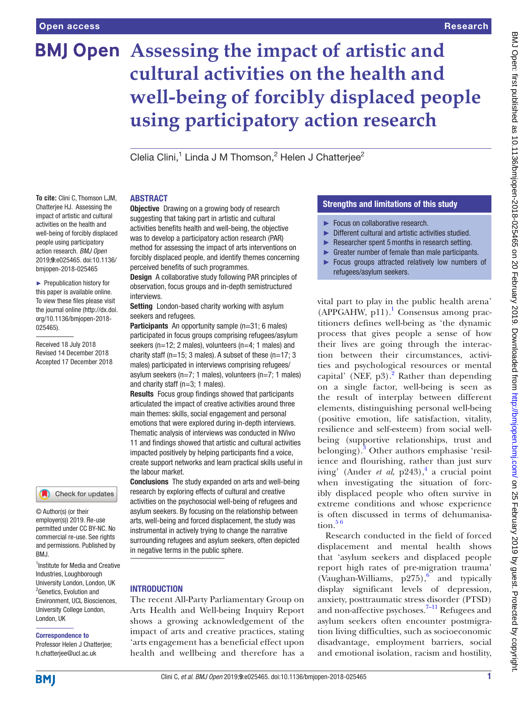**To cite:** Clini C, Thomson LJM, Chatterjee HJ. Assessing the impact of artistic and cultural activities on the health and well-being of forcibly displaced people using participatory action research. *BMJ Open* 2019;9:e025465. doi:10.1136/ bmjopen-2018-025465 ► Prepublication history for this paper is available online. To view these files please visit the journal online [\(http://dx.doi.](http://dx.doi.org/10.1136/bmjopen-2018-025465) [org/10.1136/bmjopen-2018-](http://dx.doi.org/10.1136/bmjopen-2018-025465)

[025465\)](http://dx.doi.org/10.1136/bmjopen-2018-025465).

Received 18 July 2018 Revised 14 December 2018 Accepted 17 December 2018

# **BMJ Open** Assessing the impact of artistic and **cultural activities on the health and well-being of forcibly displaced people using participatory action research**

Clelia Clini,<sup>1</sup> Linda J M Thomson,<sup>2</sup> Helen J Chatterjee<sup>2</sup>

#### **ABSTRACT**

**Objective** Drawing on a growing body of research suggesting that taking part in artistic and cultural activities benefits health and well-being, the objective was to develop a participatory action research (PAR) method for assessing the impact of arts interventions on forcibly displaced people, and identify themes concerning perceived benefits of such programmes.

Design A collaborative study following PAR principles of observation, focus groups and in-depth semistructured interviews.

Setting London-based charity working with asylum seekers and refugees.

Participants An opportunity sample (n=31; 6 males) participated in focus groups comprising refugees/asylum seekers (n=12; 2 males), volunteers (n=4; 1 males) and charity staff ( $n=15$ ; 3 males). A subset of these ( $n=17$ ; 3 males) participated in interviews comprising refugees/ asylum seekers (n=7; 1 males), volunteers (n=7; 1 males) and charity staff (n=3; 1 males).

Results Focus group findings showed that participants articulated the impact of creative activities around three main themes: skills, social engagement and personal emotions that were explored during in-depth interviews. Thematic analysis of interviews was conducted in NVivo 11 and findings showed that artistic and cultural activities impacted positively by helping participants find a voice, create support networks and learn practical skills useful in the labour market.

Conclusions The study expanded on arts and well-being research by exploring effects of cultural and creative activities on the psychosocial well-being of refugees and asylum seekers. By focusing on the relationship between arts, well-being and forced displacement, the study was instrumental in actively trying to change the narrative surrounding refugees and asylum seekers, often depicted in negative terms in the public sphere.

#### <sup>1</sup>Institute for Media and Creative Industries, Loughborough University London, London, UK <sup>2</sup>Genetics, Evolution and Environment, UCL Biosciences, University College London, London, UK

#### Correspondence to

© Author(s) (or their employer(s)) 2019. Re-use permitted under CC BY-NC. No commercial re-use. See rights and permissions. Published by

Check for updates

RM<sub>J</sub>

Professor Helen J Chatterjee; h.chatterjee@ucl.ac.uk

# **INTRODUCTION**

The recent All-Party Parliamentary Group on Arts Health and Well-being Inquiry Report shows a growing acknowledgement of the impact of arts and creative practices, stating 'arts engagement has a beneficial effect upon health and wellbeing and therefore has a

# Strengths and limitations of this study

- ► Focus on collaborative research.
- ► Different cultural and artistic activities studied.
- ► Researcher spent 5 months in research setting.
- $\blacktriangleright$  Greater number of female than male participants.
- ► Focus groups attracted relatively low numbers of refugees/asylum seekers.

vital part to play in the public health arena' (APPGAHW, p11).<sup>1</sup> Consensus among practitioners defines well-being as 'the dynamic process that gives people a sense of how their lives are going through the interaction between their circumstances, activities and psychological resources or mental capital' (NEF,  $p3$ ).<sup>[2](#page-8-0)</sup> Rather than depending on a single factor, well-being is seen as the result of interplay between different elements, distinguishing personal well-being (positive emotion, life satisfaction, vitality, resilience and self-esteem) from social wellbeing (supportive relationships, trust and belonging).<sup>[3](#page-8-1)</sup> Other authors emphasise 'resilience and flourishing, rather than just surv iving' (Ander *et al*,  $p243$  $p243$  $p243$ ),<sup>4</sup> a crucial point when investigating the situation of forcibly displaced people who often survive in extreme conditions and whose experience is often discussed in terms of dehumanisation. $56$ 

Research conducted in the field of forced displacement and mental health shows that 'asylum seekers and displaced people report high rates of pre-migration trauma' (Vaughan-Williams,  $p^2$ 75), and typically display significant levels of depression, anxiety, posttraumatic stress disorder (PTSD) and non-affective psychoses.<sup>7-11</sup> Refugees and asylum seekers often encounter postmigration living difficulties, such as socioeconomic disadvantage, employment barriers, social and emotional isolation, racism and hostility,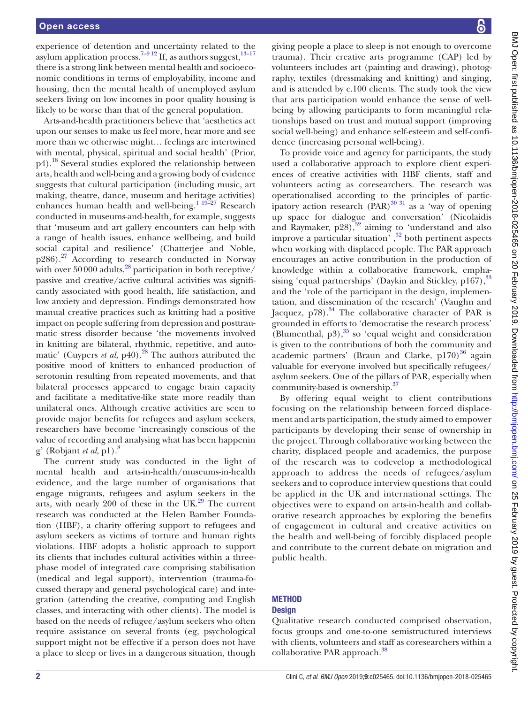experience of detention and uncertainty related to the asylum application process.<sup>[7–9 12](#page-8-5)</sup> If, as authors suggest, $13-17$ there is a strong link between mental health and socioeconomic conditions in terms of employability, income and housing, then the mental health of unemployed asylum seekers living on low incomes in poor quality housing is likely to be worse than that of the general population.

Arts-and-health practitioners believe that 'aesthetics act upon our senses to make us feel more, hear more and see more than we otherwise might… feelings are intertwined with mental, physical, spiritual and social health' (Prior, p4).[18](#page-8-7) Several studies explored the relationship between arts, health and well-being and a growing body of evidence suggests that cultural participation (including music, art making, theatre, dance, museum and heritage activities) enhances human health and well-being.<sup>[1 19–27](#page-7-0)</sup> Research conducted in museums-and-health, for example, suggests that 'museum and art gallery encounters can help with a range of health issues, enhance wellbeing, and build social capital and resilience' (Chatterjee and Noble,  $p286$ ).<sup>27</sup> According to research conducted in Norway with over 50000 adults, $^{28}$  participation in both receptive/ passive and creative/active cultural activities was significantly associated with good health, life satisfaction, and low anxiety and depression. Findings demonstrated how manual creative practices such as knitting had a positive impact on people suffering from depression and posttraumatic stress disorder because 'the movements involved in knitting are bilateral, rhythmic, repetitive, and automatic' (Cuypers *et al*, p40).<sup>28</sup> The authors attributed the positive mood of knitters to enhanced production of serotonin resulting from repeated movements, and that bilateral processes appeared to engage brain capacity and facilitate a meditative-like state more readily than unilateral ones. Although creative activities are seen to provide major benefits for refugees and asylum seekers, researchers have become 'increasingly conscious of the value of recording and analysing what has been happenin g' (Robjant *et al*, p1)[.8](#page-8-10)

The current study was conducted in the light of mental health and arts-in-health/museums-in-health evidence, and the large number of organisations that engage migrants, refugees and asylum seekers in the arts, with nearly 200 of these in the  $UK<sup>29</sup>$  The current research was conducted at the Helen Bamber Foundation (HBF), a charity offering support to refugees and asylum seekers as victims of torture and human rights violations. HBF adopts a holistic approach to support its clients that includes cultural activities within a threephase model of integrated care comprising stabilisation (medical and legal support), intervention (trauma-focussed therapy and general psychological care) and integration (attending the creative, computing and English classes, and interacting with other clients). The model is based on the needs of refugee/asylum seekers who often require assistance on several fronts (eg, psychological support might not be effective if a person does not have a place to sleep or lives in a dangerous situation, though

giving people a place to sleep is not enough to overcome trauma). Their creative arts programme (CAP) led by volunteers includes art (painting and drawing), photography, textiles (dressmaking and knitting) and singing, and is attended by c.100 clients. The study took the view that arts participation would enhance the sense of wellbeing by allowing participants to form meaningful relationships based on trust and mutual support (improving social well-being) and enhance self-esteem and self-confidence (increasing personal well-being).

To provide voice and agency for participants, the study used a collaborative approach to explore client experiences of creative activities with HBF clients, staff and volunteers acting as coresearchers. The research was operationalised according to the principles of participatory action research  $(\overrightarrow{PAR})^{30}$ <sup>31</sup> as a 'way of opening up space for dialogue and conversation' (Nicolaidis and Raymaker,  $p28$ ,  $\frac{32}{3}$  aiming to 'understand and also improve a particular situation' , [32](#page-8-13) both pertinent aspects when working with displaced people. The PAR approach encourages an active contribution in the production of knowledge within a collaborative framework, empha-sising 'equal partnerships' (Daykin and Stickley, p167), [33](#page-8-14) and the 'role of the participant in the design, implementation, and dissemination of the research' (Vaughn and Jacquez,  $p78$ ).<sup>34</sup> The collaborative character of PAR is grounded in efforts to 'democratise the research process' (Blumenthal,  $p3$ ), $35$  so 'equal weight and consideration is given to the contributions of both the community and academic partners' (Braun and Clarke,  $p170$ )<sup>36</sup> again valuable for everyone involved but specifically refugees/ asylum seekers. One of the pillars of PAR, especially when community-based is ownership.<sup>[37](#page-8-18)</sup>

By offering equal weight to client contributions focusing on the relationship between forced displacement and arts participation, the study aimed to empower participants by developing their sense of ownership in the project. Through collaborative working between the charity, displaced people and academics, the purpose of the research was to codevelop a methodological approach to address the needs of refugees/asylum seekers and to coproduce interview questions that could be applied in the UK and international settings. The objectives were to expand on arts-in-health and collaborative research approaches by exploring the benefits of engagement in cultural and creative activities on the health and well-being of forcibly displaced people and contribute to the current debate on migration and public health.

# **METHOD Design**

Qualitative research conducted comprised observation, focus groups and one-to-one semistructured interviews with clients, volunteers and staff as coresearchers within a collaborative PAR approach.<sup>38</sup>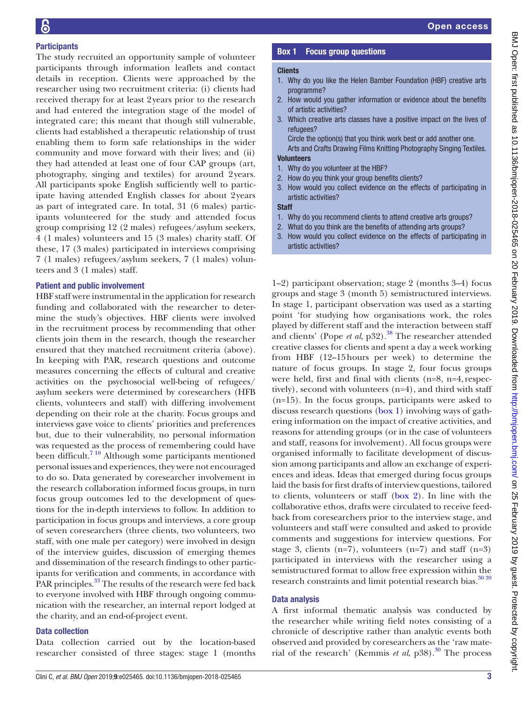# **Participants**

The study recruited an opportunity sample of volunteer participants through information leaflets and contact details in reception. Clients were approached by the researcher using two recruitment criteria: (i) clients had received therapy for at least 2years prior to the research and had entered the integration stage of the model of integrated care; this meant that though still vulnerable, clients had established a therapeutic relationship of trust enabling them to form safe relationships in the wider community and move forward with their lives; and (ii) they had attended at least one of four CAP groups (art, photography, singing and textiles) for around 2years. All participants spoke English sufficiently well to participate having attended English classes for about 2years as part of integrated care. In total, 31 (6 males) participants volunteered for the study and attended focus group comprising 12 (2 males) refugees/asylum seekers, 4 (1 males) volunteers and 15 (3 males) charity staff. Of these, 17 (3 males) participated in interviews comprising 7 (1 males) refugees/asylum seekers, 7 (1 males) volunteers and 3 (1 males) staff.

# Patient and public involvement

HBF staff were instrumental in the application for research funding and collaborated with the researcher to determine the study's objectives. HBF clients were involved in the recruitment process by recommending that other clients join them in the research, though the researcher ensured that they matched recruitment criteria (above). In keeping with PAR, research questions and outcome measures concerning the effects of cultural and creative activities on the psychosocial well-being of refugees/ asylum seekers were determined by coresearchers (HFB clients, volunteers and staff) with differing involvement depending on their role at the charity. Focus groups and interviews gave voice to clients' priorities and preferences but, due to their vulnerability, no personal information was requested as the process of remembering could have been difficult.<sup>7 10</sup> Although some participants mentioned personal issues and experiences, they were not encouraged to do so. Data generated by coresearcher involvement in the research collaboration informed focus groups, in turn focus group outcomes led to the development of questions for the in-depth interviews to follow. In addition to participation in focus groups and interviews, a core group of seven coresearchers (three clients, two volunteers, two staff, with one male per category) were involved in design of the interview guides, discussion of emerging themes and dissemination of the research findings to other participants for verification and comments, in accordance with PAR principles.<sup>33</sup> The results of the research were fed back to everyone involved with HBF through ongoing communication with the researcher, an internal report lodged at the charity, and an end-of-project event.

# Data collection

Data collection carried out by the location-based researcher consisted of three stages: stage 1 (months

# Box 1 Focus group questions

#### <span id="page-2-0"></span>**Clients**

- 1. Why do you like the Helen Bamber Foundation (HBF) creative arts programme?
- 2. How would you gather information or evidence about the benefits of artistic activities?
- 3. Which creative arts classes have a positive impact on the lives of refugees?

Circle the option(s) that you think work best or add another one. Arts and Crafts Drawing Films Knitting Photography Singing Textiles.

# **Volunteers**

- 1. Why do you volunteer at the HBF?
- 2. How do you think your group benefits clients?
- 3. How would you collect evidence on the effects of participating in artistic activities?

**Staff** 

- 1. Why do you recommend clients to attend creative arts groups?
- 2. What do you think are the benefits of attending arts groups?
- 3. How would you collect evidence on the effects of participating in artistic activities?

1–2) participant observation; stage 2 (months 3–4) focus groups and stage 3 (month 5) semistructured interviews. In stage 1, participant observation was used as a starting point 'for studying how organisations work, the roles played by different staff and the interaction between staff and clients' (Pope *et al*, p32).<sup>38</sup> The researcher attended creative classes for clients and spent a day a week working from HBF (12–15hours per week) to determine the nature of focus groups. In stage 2, four focus groups were held, first and final with clients (n=8, n=4, respectively), second with volunteers (n=4), and third with staff (n=15). In the focus groups, participants were asked to discuss research questions ([box](#page-2-0) 1) involving ways of gathering information on the impact of creative activities, and reasons for attending groups (or in the case of volunteers and staff, reasons for involvement). All focus groups were organised informally to facilitate development of discussion among participants and allow an exchange of experiences and ideas. Ideas that emerged during focus groups laid the basis for first drafts of interview questions, tailored to clients, volunteers or staff [\(box](#page-3-0) 2). In line with the collaborative ethos, drafts were circulated to receive feedback from coresearchers prior to the interview stage, and volunteers and staff were consulted and asked to provide comments and suggestions for interview questions. For stage 3, clients  $(n=7)$ , volunteers  $(n=7)$  and staff  $(n=3)$ participated in interviews with the researcher using a semistructured format to allow free expression within the research constraints and limit potential research bias.<sup>30 39</sup>

# Data analysis

A first informal thematic analysis was conducted by the researcher while writing field notes consisting of a chronicle of descriptive rather than analytic events both observed and provided by coresearchers as the 'raw material of the research' (Kemmis *et al*, p38).<sup>[30](#page-8-12)</sup> The process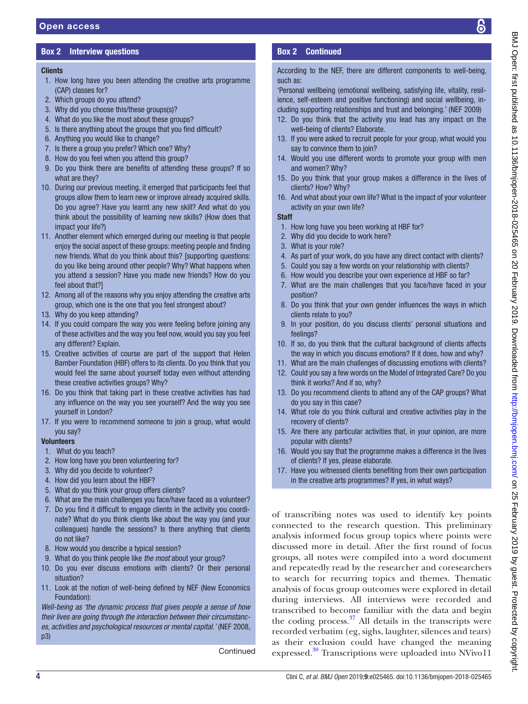# Box 2 Interview questions

# <span id="page-3-0"></span>**Clients**

- 1. How long have you been attending the creative arts programme (CAP) classes for?
- 2. Which groups do you attend?
- 3. Why did you choose this/these groups(s)?
- 4. What do you like the most about these groups?
- 5. Is there anything about the groups that you find difficult?
- 6. Anything you would like to change?
- 7. Is there a group you prefer? Which one? Why?
- 8. How do you feel when you attend this group?
- 9. Do you think there are benefits of attending these groups? If so what are they?
- 10. During our previous meeting, it emerged that participants feel that groups allow them to learn new or improve already acquired skills. Do you agree? Have you learnt any new skill? And what do you think about the possibility of learning new skills? (How does that impact your life?)
- 11. Another element which emerged during our meeting is that people enjoy the social aspect of these groups: meeting people and finding new friends. What do you think about this? [supporting questions: do you like being around other people? Why? What happens when you attend a session? Have you made new friends? How do you feel about that?]
- 12. Among all of the reasons why you enjoy attending the creative arts group, which one is the one that you feel strongest about?
- 13. Why do you keep attending?
- 14. If you could compare the way you were feeling before joining any of these activities and the way you feel now, would you say you feel any different? Explain.
- 15. Creative activities of course are part of the support that Helen Bamber Foundation (HBF) offers to its clients. Do you think that you would feel the same about yourself today even without attending these creative activities groups? Why?
- 16. Do you think that taking part in these creative activities has had any influence on the way you see yourself? And the way you see yourself in London?
- 17. If you were to recommend someone to join a group, what would you say?

#### Volunteers

- 1. What do you teach?
- 2. How long have you been volunteering for?
- 3. Why did you decide to volunteer?
- 4. How did you learn about the HBF?
- 5. What do you think your group offers clients?
- 6. What are the main challenges you face/have faced as a volunteer?
- 7. Do you find it difficult to engage clients in the activity you coordinate? What do you think clients like about the way you (and your colleagues) handle the sessions? Is there anything that clients do not like?
- 8. How would you describe a typical session?
- 9. What do you think people like *the most* about your group?
- 10. Do you ever discuss emotions with clients? Or their personal situation?
- 11. Look at the notion of well-being defined by NEF (New Economics Foundation):

*Well-being as 'the dynamic process that gives people a sense of how their lives are going through the interaction between their circumstances, activities and psychological resources or mental capital.'* (NEF 2008, p3)

**Continued** 

# Box 2 Continued

According to the NEF, there are different components to well-being, such as:

'Personal wellbeing (emotional wellbeing, satisfying life, vitality, resilience, self-esteem and positive functioning) and social wellbeing, including supporting relationships and trust and belonging.' (NEF 2009)

- 12. Do you think that the activity you lead has any impact on the well-being of clients? Elaborate.
- 13. If you were asked to recruit people for your group, what would you say to convince them to join?
- 14. Would you use different words to promote your group with men and women? Why?
- 15. Do you think that your group makes a difference in the lives of clients? How? Why?
- 16. And what about your own life? What is the impact of your volunteer activity on your own life?

#### **Staff**

- 1. How long have you been working at HBF for?
- 2. Why did you decide to work here?
- 3. What is your role?
- 4. As part of your work, do you have any direct contact with clients?
- 5. Could you say a few words on your relationship with clients?
- 6. How would you describe your own experience at HBF so far?
- 7. What are the main challenges that you face/have faced in your position?
- 8. Do you think that your own gender influences the ways in which clients relate to you?
- 9. In your position, do you discuss clients' personal situations and feelings?
- 10. If so, do you think that the cultural background of clients affects the way in which you discuss emotions? If it does, how and why?
- 11. What are the main challenges of discussing emotions with clients?
- 12. Could you say a few words on the Model of Integrated Care? Do you think it works? And if so, why?
- 13. Do you recommend clients to attend any of the CAP groups? What do you say in this case?
- 14. What role do you think cultural and creative activities play in the recovery of clients?
- 15. Are there any particular activities that, in your opinion, are more popular with clients?
- 16. Would you say that the programme makes a difference in the lives of clients? If yes, please elaborate.
- 17. Have you witnessed clients benefiting from their own participation in the creative arts programmes? If yes, in what ways?

of transcribing notes was used to identify key points connected to the research question. This preliminary analysis informed focus group topics where points were discussed more in detail. After the first round of focus groups, all notes were compiled into a word document and repeatedly read by the researcher and coresearchers to search for recurring topics and themes. Thematic analysis of focus group outcomes were explored in detail during interviews. All interviews were recorded and transcribed to become familiar with the data and begin the coding process. $37$  All details in the transcripts were recorded verbatim (eg, sighs, laughter, silences and tears) as their exclusion could have changed the meaning expressed.<sup>30</sup> Transcriptions were uploaded into NVivo11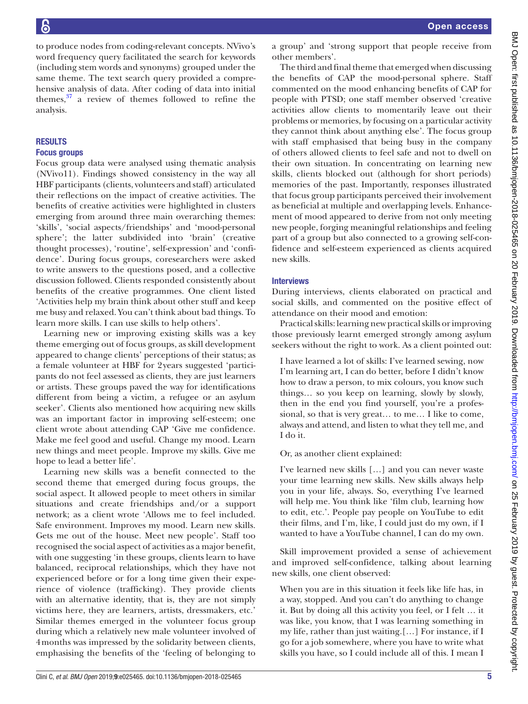to produce nodes from coding-relevant concepts. NVivo's word frequency query facilitated the search for keywords (including stem words and synonyms) grouped under the same theme. The text search query provided a comprehensive analysis of data. After coding of data into initial themes, $37$  a review of themes followed to refine the analysis.

### **RESULTS**

#### Focus groups

Focus group data were analysed using thematic analysis (NVivo11). Findings showed consistency in the way all HBF participants (clients, volunteers and staff) articulated their reflections on the impact of creative activities. The benefits of creative activities were highlighted in clusters emerging from around three main overarching themes: 'skills', 'social aspects/friendships' and 'mood-personal sphere'; the latter subdivided into 'brain' (creative thought processes), 'routine', self-expression' and 'confidence'. During focus groups, coresearchers were asked to write answers to the questions posed, and a collective discussion followed. Clients responded consistently about benefits of the creative programmes. One client listed 'Activities help my brain think about other stuff and keep me busy and relaxed. You can't think about bad things. To learn more skills. I can use skills to help others'.

Learning new or improving existing skills was a key theme emerging out of focus groups, as skill development appeared to change clients' perceptions of their status; as a female volunteer at HBF for 2years suggested 'participants do not feel assessed as clients, they are just learners or artists. These groups paved the way for identifications different from being a victim, a refugee or an asylum seeker'. Clients also mentioned how acquiring new skills was an important factor in improving self-esteem; one client wrote about attending CAP 'Give me confidence. Make me feel good and useful. Change my mood. Learn new things and meet people. Improve my skills. Give me hope to lead a better life'.

Learning new skills was a benefit connected to the second theme that emerged during focus groups, the social aspect. It allowed people to meet others in similar situations and create friendships and/or a support network; as a client wrote 'Allows me to feel included. Safe environment. Improves my mood. Learn new skills. Gets me out of the house. Meet new people'. Staff too recognised the social aspect of activities as a major benefit, with one suggesting 'in these groups, clients learn to have balanced, reciprocal relationships, which they have not experienced before or for a long time given their experience of violence (trafficking). They provide clients with an alternative identity, that is, they are not simply victims here, they are learners, artists, dressmakers, etc.' Similar themes emerged in the volunteer focus group during which a relatively new male volunteer involved of 4months was impressed by the solidarity between clients, emphasising the benefits of the 'feeling of belonging to

a group' and 'strong support that people receive from other members'.

The third and final theme that emerged when discussing the benefits of CAP the mood-personal sphere. Staff commented on the mood enhancing benefits of CAP for people with PTSD; one staff member observed 'creative activities allow clients to momentarily leave out their problems or memories, by focusing on a particular activity they cannot think about anything else'. The focus group with staff emphasised that being busy in the company of others allowed clients to feel safe and not to dwell on their own situation. In concentrating on learning new skills, clients blocked out (although for short periods) memories of the past. Importantly, responses illustrated that focus group participants perceived their involvement as beneficial at multiple and overlapping levels. Enhancement of mood appeared to derive from not only meeting new people, forging meaningful relationships and feeling part of a group but also connected to a growing self-confidence and self-esteem experienced as clients acquired new skills.

#### Interviews

During interviews, clients elaborated on practical and social skills, and commented on the positive effect of attendance on their mood and emotion:

Practical skills: learning new practical skills or improving those previously learnt emerged strongly among asylum seekers without the right to work. As a client pointed out:

I have learned a lot of skills: I've learned sewing, now I'm learning art, I can do better, before I didn't know how to draw a person, to mix colours, you know such things… so you keep on learning, slowly by slowly, then in the end you find yourself, you're a professional, so that is very great… to me… I like to come, always and attend, and listen to what they tell me, and I do it.

Or, as another client explained:

I've learned new skills […] and you can never waste your time learning new skills. New skills always help you in your life, always. So, everything I've learned will help me. You think like 'film club, learning how to edit, etc.'. People pay people on YouTube to edit their films, and I'm, like, I could just do my own, if I wanted to have a YouTube channel, I can do my own.

Skill improvement provided a sense of achievement and improved self-confidence, talking about learning new skills, one client observed:

When you are in this situation it feels like life has, in a way, stopped. And you can't do anything to change it. But by doing all this activity you feel, or I felt … it was like, you know, that I was learning something in my life, rather than just waiting.[…] For instance, if I go for a job somewhere, where you have to write what skills you have, so I could include all of this. I mean I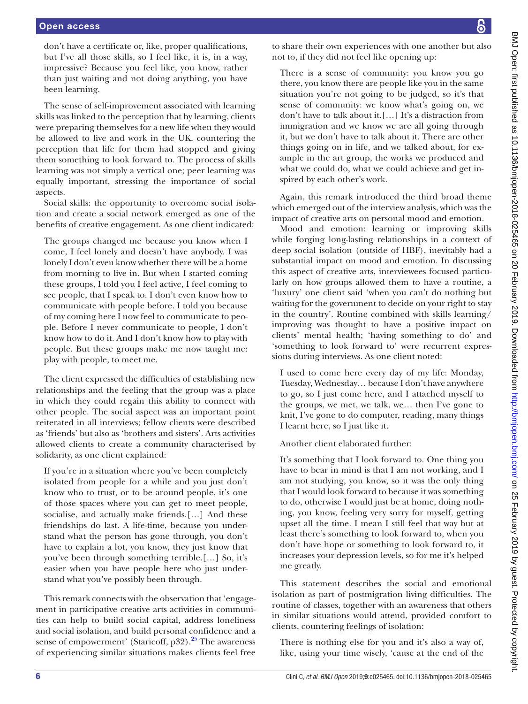don't have a certificate or, like, proper qualifications, but I've all those skills, so I feel like, it is, in a way, impressive? Because you feel like, you know, rather than just waiting and not doing anything, you have been learning.

The sense of self-improvement associated with learning skills was linked to the perception that by learning, clients were preparing themselves for a new life when they would be allowed to live and work in the UK, countering the perception that life for them had stopped and giving them something to look forward to. The process of skills learning was not simply a vertical one; peer learning was equally important, stressing the importance of social aspects.

Social skills: the opportunity to overcome social isolation and create a social network emerged as one of the benefits of creative engagement. As one client indicated:

The groups changed me because you know when I come, I feel lonely and doesn't have anybody. I was lonely I don't even know whether there will be a home from morning to live in. But when I started coming these groups, I told you I feel active, I feel coming to see people, that I speak to. I don't even know how to communicate with people before. I told you because of my coming here I now feel to communicate to people. Before I never communicate to people, I don't know how to do it. And I don't know how to play with people. But these groups make me now taught me: play with people, to meet me.

The client expressed the difficulties of establishing new relationships and the feeling that the group was a place in which they could regain this ability to connect with other people. The social aspect was an important point reiterated in all interviews; fellow clients were described as 'friends' but also as 'brothers and sisters'. Arts activities allowed clients to create a community characterised by solidarity, as one client explained:

If you're in a situation where you've been completely isolated from people for a while and you just don't know who to trust, or to be around people, it's one of those spaces where you can get to meet people, socialise, and actually make friends.[…] And these friendships do last. A life-time, because you understand what the person has gone through, you don't have to explain a lot, you know, they just know that you've been through something terrible.[…] So, it's easier when you have people here who just understand what you've possibly been through.

This remark connects with the observation that 'engagement in participative creative arts activities in communities can help to build social capital, address loneliness and social isolation, and build personal confidence and a sense of empowerment' (Staricoff,  $p32$ ).<sup>25</sup> The awareness of experiencing similar situations makes clients feel free

to share their own experiences with one another but also not to, if they did not feel like opening up:

There is a sense of community: you know you go there, you know there are people like you in the same situation you're not going to be judged, so it's that sense of community: we know what's going on, we don't have to talk about it.[…] It's a distraction from immigration and we know we are all going through it, but we don't have to talk about it. There are other things going on in life, and we talked about, for example in the art group, the works we produced and what we could do, what we could achieve and get inspired by each other's work.

Again, this remark introduced the third broad theme which emerged out of the interview analysis, which was the impact of creative arts on personal mood and emotion.

Mood and emotion: learning or improving skills while forging long-lasting relationships in a context of deep social isolation (outside of HBF), inevitably had a substantial impact on mood and emotion. In discussing this aspect of creative arts, interviewees focused particularly on how groups allowed them to have a routine, a 'luxury' one client said 'when you can't do nothing but waiting for the government to decide on your right to stay in the country'. Routine combined with skills learning/ improving was thought to have a positive impact on clients' mental health; 'having something to do' and 'something to look forward to' were recurrent expressions during interviews. As one client noted:

I used to come here every day of my life: Monday, Tuesday, Wednesday… because I don't have anywhere to go, so I just come here, and I attached myself to the groups, we met, we talk, we… then I've gone to knit, I've gone to do computer, reading, many things I learnt here, so I just like it.

Another client elaborated further:

It's something that I look forward to. One thing you have to bear in mind is that I am not working, and I am not studying, you know, so it was the only thing that I would look forward to because it was something to do, otherwise I would just be at home, doing nothing, you know, feeling very sorry for myself, getting upset all the time. I mean I still feel that way but at least there's something to look forward to, when you don't have hope or something to look forward to, it increases your depression levels, so for me it's helped me greatly.

This statement describes the social and emotional isolation as part of postmigration living difficulties. The routine of classes, together with an awareness that others in similar situations would attend, provided comfort to clients, countering feelings of isolation:

There is nothing else for you and it's also a way of, like, using your time wisely, 'cause at the end of the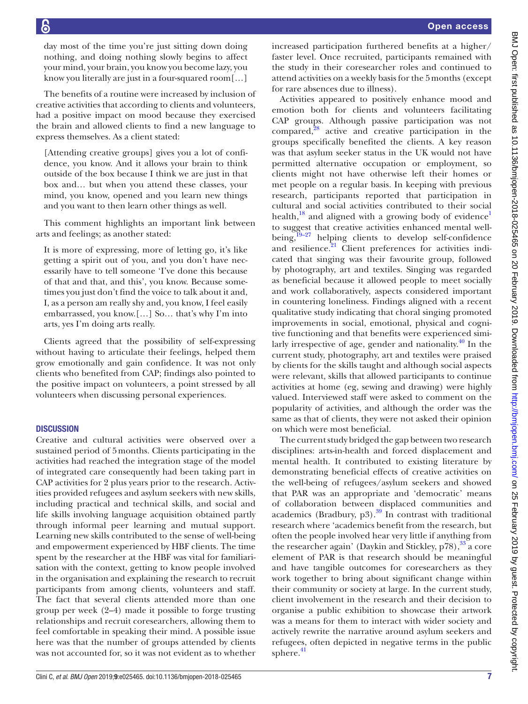day most of the time you're just sitting down doing nothing, and doing nothing slowly begins to affect your mind, your brain, you know you become lazy, you know you literally are just in a four-squared room[…]

The benefits of a routine were increased by inclusion of creative activities that according to clients and volunteers, had a positive impact on mood because they exercised the brain and allowed clients to find a new language to express themselves. As a client stated:

[Attending creative groups] gives you a lot of confidence, you know. And it allows your brain to think outside of the box because I think we are just in that box and… but when you attend these classes, your mind, you know, opened and you learn new things and you want to then learn other things as well.

This comment highlights an important link between arts and feelings; as another stated:

It is more of expressing, more of letting go, it's like getting a spirit out of you, and you don't have necessarily have to tell someone 'I've done this because of that and that, and this', you know. Because sometimes you just don't find the voice to talk about it and, I, as a person am really shy and, you know, I feel easily embarrassed, you know.[…] So… that's why I'm into arts, yes I'm doing arts really.

Clients agreed that the possibility of self-expressing without having to articulate their feelings, helped them grow emotionally and gain confidence. It was not only clients who benefited from CAP; findings also pointed to the positive impact on volunteers, a point stressed by all volunteers when discussing personal experiences.

#### **DISCUSSION**

Creative and cultural activities were observed over a sustained period of 5months. Clients participating in the activities had reached the integration stage of the model of integrated care consequently had been taking part in CAP activities for 2 plus years prior to the research. Activities provided refugees and asylum seekers with new skills, including practical and technical skills, and social and life skills involving language acquisition obtained partly through informal peer learning and mutual support. Learning new skills contributed to the sense of well-being and empowerment experienced by HBF clients. The time spent by the researcher at the HBF was vital for familiarisation with the context, getting to know people involved in the organisation and explaining the research to recruit participants from among clients, volunteers and staff. The fact that several clients attended more than one group per week (2–4) made it possible to forge trusting relationships and recruit coresearchers, allowing them to feel comfortable in speaking their mind. A possible issue here was that the number of groups attended by clients was not accounted for, so it was not evident as to whether

sphere. $41$ 

demonstrating beneficial effects of creative activities on the well-being of refugees/asylum seekers and showed that PAR was an appropriate and 'democratic' means of collaboration between displaced communities and academics (Bradbury,  $p3$ ).<sup>39</sup> In contrast with traditional research where 'academics benefit from the research, but often the people involved hear very little if anything from the researcher again' (Daykin and Stickley, p78), [33](#page-8-14) a core element of PAR is that research should be meaningful and have tangible outcomes for coresearchers as they work together to bring about significant change within their community or society at large. In the current study, client involvement in the research and their decision to organise a public exhibition to showcase their artwork was a means for them to interact with wider society and

actively rewrite the narrative around asylum seekers and refugees, often depicted in negative terms in the public

disciplines: arts-in-health and forced displacement and mental health. It contributed to existing literature by

Activities appeared to positively enhance mood and emotion both for clients and volunteers facilitating CAP groups. Although passive participation was not compared, $28$  active and creative participation in the groups specifically benefited the clients. A key reason was that asylum seeker status in the UK would not have permitted alternative occupation or employment, so clients might not have otherwise left their homes or met people on a regular basis. In keeping with previous research, participants reported that participation in cultural and social activities contributed to their social health, $^{18}$  and aligned with a growing body of evidence<sup>1</sup> to suggest that creative activities enhanced mental wellbeing, $19-27$  helping clients to develop self-confidence and resilience. $21$  Client preferences for activities indicated that singing was their favourite group, followed by photography, art and textiles. Singing was regarded as beneficial because it allowed people to meet socially and work collaboratively, aspects considered important in countering loneliness. Findings aligned with a recent qualitative study indicating that choral singing promoted improvements in social, emotional, physical and cognitive functioning and that benefits were experienced similarly irrespective of age, gender and nationality. $40$  In the current study, photography, art and textiles were praised by clients for the skills taught and although social aspects were relevant, skills that allowed participants to continue activities at home (eg, sewing and drawing) were highly valued. Interviewed staff were asked to comment on the popularity of activities, and although the order was the same as that of clients, they were not asked their opinion on which were most beneficial. The current study bridged the gap between two research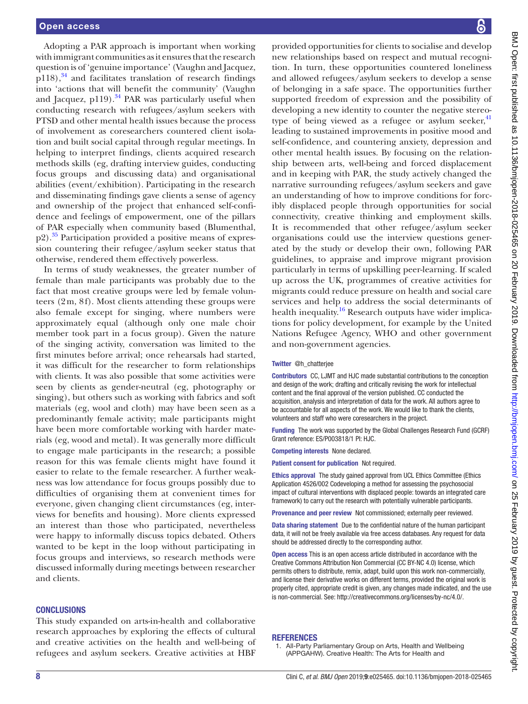Adopting a PAR approach is important when working with immigrant communities as it ensures that the research question is of 'genuine importance' (Vaughn and Jacquez,  $p118$ ,<sup>34</sup> and facilitates translation of research findings into 'actions that will benefit the community' (Vaughn and Jacquez, p119). $34$  PAR was particularly useful when conducting research with refugees/asylum seekers with PTSD and other mental health issues because the process of involvement as coresearchers countered client isolation and built social capital through regular meetings. In helping to interpret findings, clients acquired research methods skills (eg, drafting interview guides, conducting focus groups and discussing data) and organisational abilities (event/exhibition). Participating in the research and disseminating findings gave clients a sense of agency and ownership of the project that enhanced self-confidence and feelings of empowerment, one of the pillars of PAR especially when community based (Blumenthal,  $p2$ ).<sup>35</sup> Participation provided a positive means of expression countering their refugee/asylum seeker status that otherwise, rendered them effectively powerless.

In terms of study weaknesses, the greater number of female than male participants was probably due to the fact that most creative groups were led by female volunteers (2m, 8f). Most clients attending these groups were also female except for singing, where numbers were approximately equal (although only one male choir member took part in a focus group). Given the nature of the singing activity, conversation was limited to the first minutes before arrival; once rehearsals had started, it was difficult for the researcher to form relationships with clients. It was also possible that some activities were seen by clients as gender-neutral (eg, photography or singing), but others such as working with fabrics and soft materials (eg, wool and cloth) may have been seen as a predominantly female activity; male participants might have been more comfortable working with harder materials (eg, wood and metal). It was generally more difficult to engage male participants in the research; a possible reason for this was female clients might have found it easier to relate to the female researcher. A further weakness was low attendance for focus groups possibly due to difficulties of organising them at convenient times for everyone, given changing client circumstances (eg, interviews for benefits and housing). More clients expressed an interest than those who participated, nevertheless were happy to informally discuss topics debated. Others wanted to be kept in the loop without participating in focus groups and interviews, so research methods were discussed informally during meetings between researcher and clients.

#### **CONCLUSIONS**

This study expanded on arts-in-health and collaborative research approaches by exploring the effects of cultural and creative activities on the health and well-being of refugees and asylum seekers. Creative activities at HBF

provided opportunities for clients to socialise and develop new relationships based on respect and mutual recognition. In turn, these opportunities countered loneliness and allowed refugees/asylum seekers to develop a sense of belonging in a safe space. The opportunities further supported freedom of expression and the possibility of developing a new identity to counter the negative stereotype of being viewed as a refugee or asylum seeker, $41$ leading to sustained improvements in positive mood and self-confidence, and countering anxiety, depression and other mental health issues. By focusing on the relationship between arts, well-being and forced displacement and in keeping with PAR, the study actively changed the narrative surrounding refugees/asylum seekers and gave an understanding of how to improve conditions for forcibly displaced people through opportunities for social connectivity, creative thinking and employment skills. It is recommended that other refugee/asylum seeker organisations could use the interview questions generated by the study or develop their own, following PAR guidelines, to appraise and improve migrant provision particularly in terms of upskilling peer-learning. If scaled up across the UK, programmes of creative activities for migrants could reduce pressure on health and social care services and help to address the social determinants of health inequality.<sup>16</sup> Research outputs have wider implications for policy development, for example by the United Nations Refugee Agency, WHO and other government and non-government agencies.

#### Twitter @h\_chatterjee

Contributors CC, LJMT and HJC made substantial contributions to the conception and design of the work; drafting and critically revising the work for intellectual content and the final approval of the version published. CC conducted the acquisition, analysis and interpretation of data for the work. All authors agree to be accountable for all aspects of the work. We would like to thank the clients, volunteers and staff who were coresearchers in the project.

Funding The work was supported by the Global Challenges Research Fund (GCRF) Grant reference: ES/P003818/1 PI: HJC.

Competing interests None declared.

Patient consent for publication Not required.

Ethics approval The study gained approval from UCL Ethics Committee (Ethics Application 4526/002 Codeveloping a method for assessing the psychosocial impact of cultural interventions with displaced people: towards an integrated care framework) to carry out the research with potentially vulnerable participants.

Provenance and peer review Not commissioned; externally peer reviewed.

Data sharing statement Due to the confidential nature of the human participant data, it will not be freely available via free access databases. Any request for data should be addressed directly to the corresponding author.

Open access This is an open access article distributed in accordance with the Creative Commons Attribution Non Commercial (CC BY-NC 4.0) license, which permits others to distribute, remix, adapt, build upon this work non-commercially, and license their derivative works on different terms, provided the original work is properly cited, appropriate credit is given, any changes made indicated, and the use is non-commercial. See: [http://creativecommons.org/licenses/by-nc/4.0/.](http://creativecommons.org/licenses/by-nc/4.0/)

#### **REFERENCES**

<span id="page-7-0"></span>1. All-Party Parliamentary Group on Arts, Health and Wellbeing (APPGAHW). Creative Health: The Arts for Health and